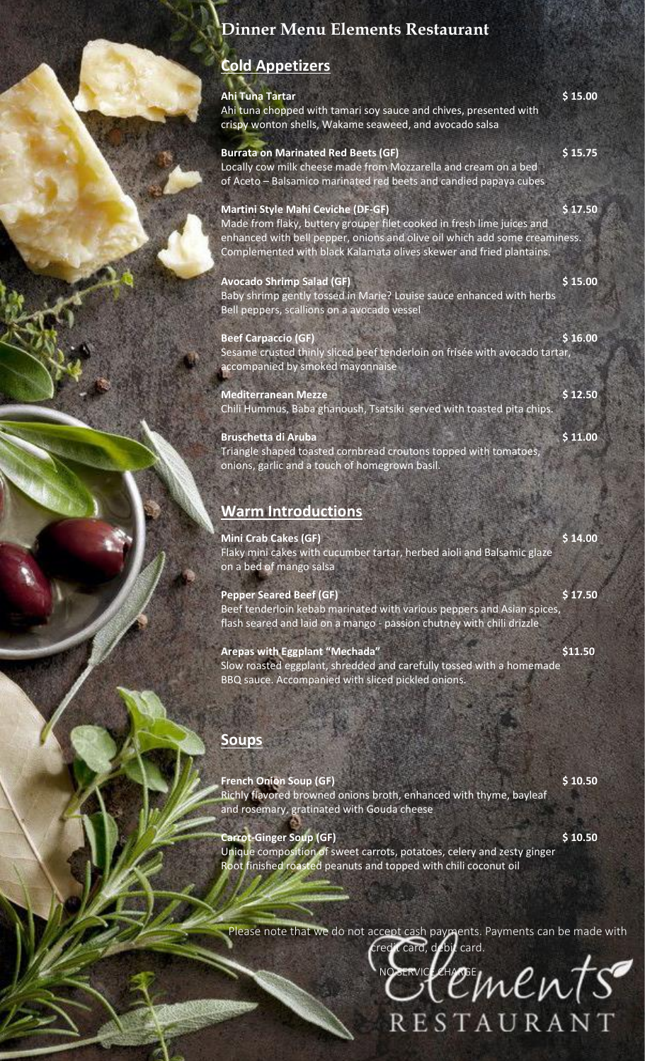## **Dinner Menu Elements Restaurant**

## **Cold Appetizers**

| Ahi Tuna Tartar<br>Ahi tuna chopped with tamari soy sauce and chives, presented with<br>crispy wonton shells, Wakame seaweed, and avocado salsa                                                                                                                          | \$15.00 |
|--------------------------------------------------------------------------------------------------------------------------------------------------------------------------------------------------------------------------------------------------------------------------|---------|
| <b>Burrata on Marinated Red Beets (GF)</b><br>Locally cow milk cheese made from Mozzarella and cream on a bed<br>of Aceto - Balsamico marinated red beets and candied papaya cubes.                                                                                      | \$15.75 |
| <b>Martini Style Mahi Ceviche (DF-GF)</b><br>Made from flaky, buttery grouper filet cooked in fresh lime juices and<br>enhanced with bell pepper, onions and olive oil which add some creaminess.<br>Complemented with black Kalamata olives skewer and fried plantains. | \$17.50 |
| <b>Avocado Shrimp Salad (GF)</b><br>Baby shrimp gently tossed in Marie? Louise sauce enhanced with herbs<br>Bell peppers, scallions on a avocado vessel                                                                                                                  | \$15.00 |
| <b>Beef Carpaccio (GF)</b><br>Sesame crusted thinly sliced beef tenderloin on frisée with avocado tartar,<br>accompanied by smoked mayonnaise                                                                                                                            | \$16.00 |
| <b>Mediterranean Mezze</b><br>Chili Hummus, Baba ghanoush, Tsatsiki served with toasted pita chips.                                                                                                                                                                      | \$12.50 |
| <b>Bruschetta di Aruba</b><br>Triangle shaped toasted cornbread croutons topped with tomatoes,<br>onions, garlic and a touch of homegrown basil.                                                                                                                         | \$11.00 |
| <b>Warm Introductions</b>                                                                                                                                                                                                                                                |         |
| <b>Mini Crab Cakes (GF)</b><br>Flaky mini cakes with cucumber tartar, herbed aioli and Balsamic glaze<br>on a bed of mango salsa                                                                                                                                         | \$14.00 |
| <b>Pepper Seared Beef (GF)</b><br>Beef tenderloin kebab marinated with various peppers and Asian spices,<br>flash seared and laid on a mango - passion chutney with chili drizzle                                                                                        | \$17.50 |
| <b>Arepas with Eggplant "Mechada"</b><br>Slow roasted eggplant, shredded and carefully tossed with a homemade<br>BBQ sauce. Accompanied with sliced pickled onions.                                                                                                      | \$11.50 |
| <b>Soups</b>                                                                                                                                                                                                                                                             |         |
| <b>French Onion Soup (GF)</b>                                                                                                                                                                                                                                            | \$10.50 |

Richly flavored browned onions broth, enhanced with thyme, bayleaf and rosemary, gratinated with Gouda cheese

**Carrot-Ginger Soup (GF) \$ 10.50**

Unique composition of sweet carrots, potatoes, celery and zesty ginger Root finished roasted peanuts and topped with chili coconut oil

Please note that we do not accept cash payments. Payments can be made with credit card, debit card.

 $v$  $evts$ 

**RESTAURANT**